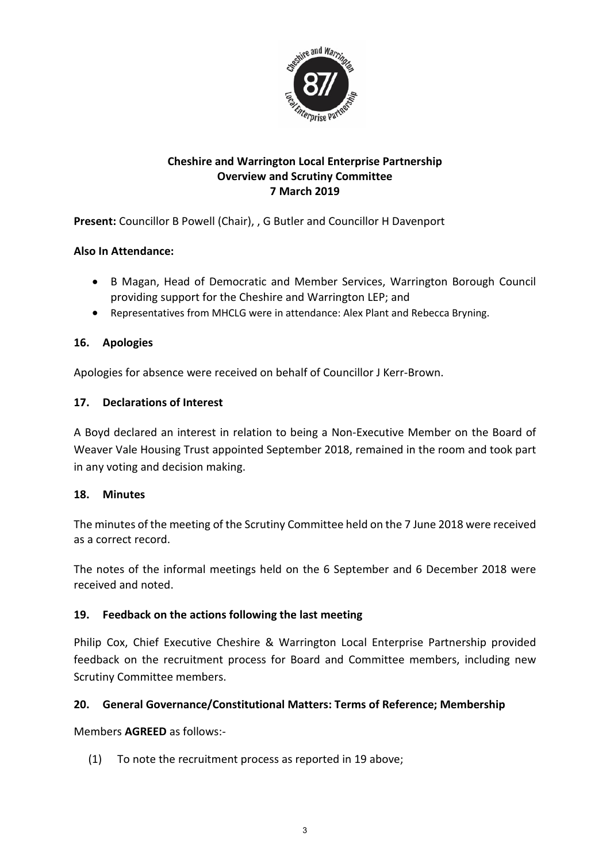

# **Cheshire and Warrington Local Enterprise Partnership Overview and Scrutiny Committee 7 March 2019**

**Present:** Councillor B Powell (Chair), , G Butler and Councillor H Davenport

### **Also In Attendance:**

- B Magan, Head of Democratic and Member Services, Warrington Borough Council providing support for the Cheshire and Warrington LEP; and
- Representatives from MHCLG were in attendance: Alex Plant and Rebecca Bryning.

### **16. Apologies**

Apologies for absence were received on behalf of Councillor J Kerr-Brown.

### **17. Declarations of Interest**

A Boyd declared an interest in relation to being a Non-Executive Member on the Board of Weaver Vale Housing Trust appointed September 2018, remained in the room and took part in any voting and decision making.

### **18. Minutes**

The minutes of the meeting of the Scrutiny Committee held on the 7 June 2018 were received as a correct record.

The notes of the informal meetings held on the 6 September and 6 December 2018 were received and noted.

### **19. Feedback on the actions following the last meeting**

Philip Cox, Chief Executive Cheshire & Warrington Local Enterprise Partnership provided feedback on the recruitment process for Board and Committee members, including new Scrutiny Committee members.

### **20. General Governance/Constitutional Matters: Terms of Reference; Membership**

Members **AGREED** as follows:-

(1) To note the recruitment process as reported in 19 above;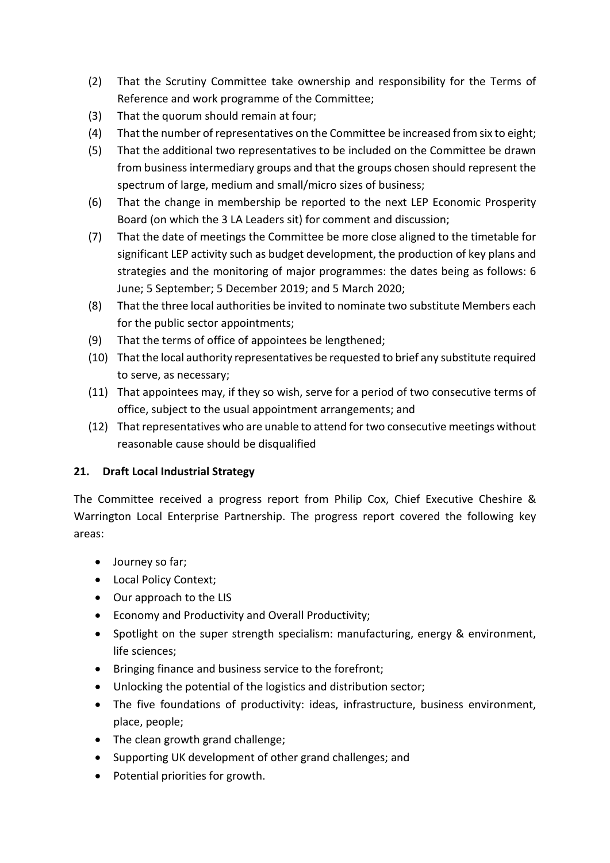- (2) That the Scrutiny Committee take ownership and responsibility for the Terms of Reference and work programme of the Committee;
- (3) That the quorum should remain at four;
- (4) That the number of representatives on the Committee be increased from six to eight;
- (5) That the additional two representatives to be included on the Committee be drawn from business intermediary groups and that the groups chosen should represent the spectrum of large, medium and small/micro sizes of business;
- (6) That the change in membership be reported to the next LEP Economic Prosperity Board (on which the 3 LA Leaders sit) for comment and discussion;
- (7) That the date of meetings the Committee be more close aligned to the timetable for significant LEP activity such as budget development, the production of key plans and strategies and the monitoring of major programmes: the dates being as follows: 6 June; 5 September; 5 December 2019; and 5 March 2020;
- (8) That the three local authorities be invited to nominate two substitute Members each for the public sector appointments;
- (9) That the terms of office of appointees be lengthened;
- (10) That the local authority representatives be requested to brief any substitute required to serve, as necessary;
- (11) That appointees may, if they so wish, serve for a period of two consecutive terms of office, subject to the usual appointment arrangements; and
- (12) That representatives who are unable to attend for two consecutive meetings without reasonable cause should be disqualified

### **21. Draft Local Industrial Strategy**

The Committee received a progress report from Philip Cox, Chief Executive Cheshire & Warrington Local Enterprise Partnership. The progress report covered the following key areas:

- Journey so far;
- Local Policy Context;
- Our approach to the LIS
- Economy and Productivity and Overall Productivity;
- Spotlight on the super strength specialism: manufacturing, energy & environment, life sciences;
- Bringing finance and business service to the forefront;
- Unlocking the potential of the logistics and distribution sector;
- The five foundations of productivity: ideas, infrastructure, business environment, place, people;
- The clean growth grand challenge;
- Supporting UK development of other grand challenges; and
- Potential priorities for growth.